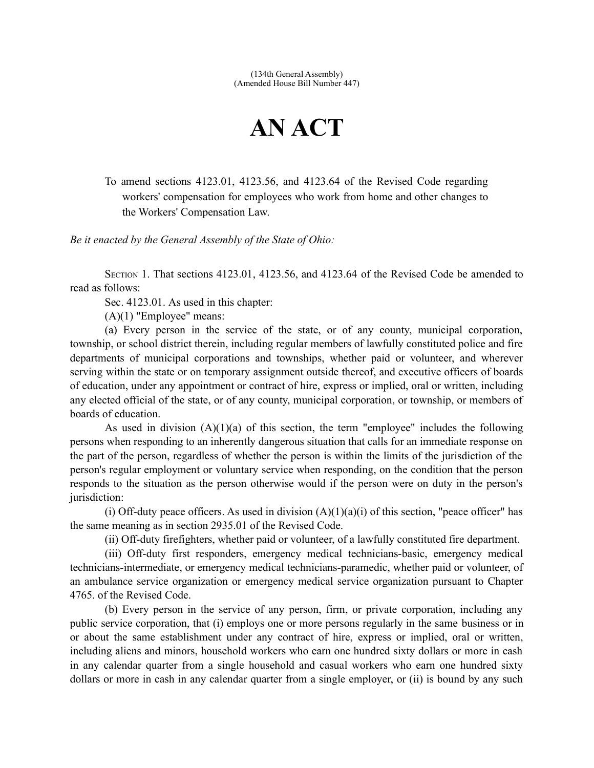(134th General Assembly) (Amended House Bill Number 447)

## **AN ACT**

To amend sections 4123.01, 4123.56, and 4123.64 of the Revised Code regarding workers' compensation for employees who work from home and other changes to the Workers' Compensation Law.

*Be it enacted by the General Assembly of the State of Ohio:*

SECTION 1. That sections 4123.01, 4123.56, and 4123.64 of the Revised Code be amended to read as follows:

Sec. 4123.01. As used in this chapter:

 $(A)(1)$  "Employee" means:

(a) Every person in the service of the state, or of any county, municipal corporation, township, or school district therein, including regular members of lawfully constituted police and fire departments of municipal corporations and townships, whether paid or volunteer, and wherever serving within the state or on temporary assignment outside thereof, and executive officers of boards of education, under any appointment or contract of hire, express or implied, oral or written, including any elected official of the state, or of any county, municipal corporation, or township, or members of boards of education.

As used in division  $(A)(1)(a)$  of this section, the term "employee" includes the following persons when responding to an inherently dangerous situation that calls for an immediate response on the part of the person, regardless of whether the person is within the limits of the jurisdiction of the person's regular employment or voluntary service when responding, on the condition that the person responds to the situation as the person otherwise would if the person were on duty in the person's jurisdiction:

(i) Off-duty peace officers. As used in division  $(A)(1)(a)(i)$  of this section, "peace officer" has the same meaning as in section 2935.01 of the Revised Code.

(ii) Off-duty firefighters, whether paid or volunteer, of a lawfully constituted fire department.

(iii) Off-duty first responders, emergency medical technicians-basic, emergency medical technicians-intermediate, or emergency medical technicians-paramedic, whether paid or volunteer, of an ambulance service organization or emergency medical service organization pursuant to Chapter 4765. of the Revised Code.

(b) Every person in the service of any person, firm, or private corporation, including any public service corporation, that (i) employs one or more persons regularly in the same business or in or about the same establishment under any contract of hire, express or implied, oral or written, including aliens and minors, household workers who earn one hundred sixty dollars or more in cash in any calendar quarter from a single household and casual workers who earn one hundred sixty dollars or more in cash in any calendar quarter from a single employer, or (ii) is bound by any such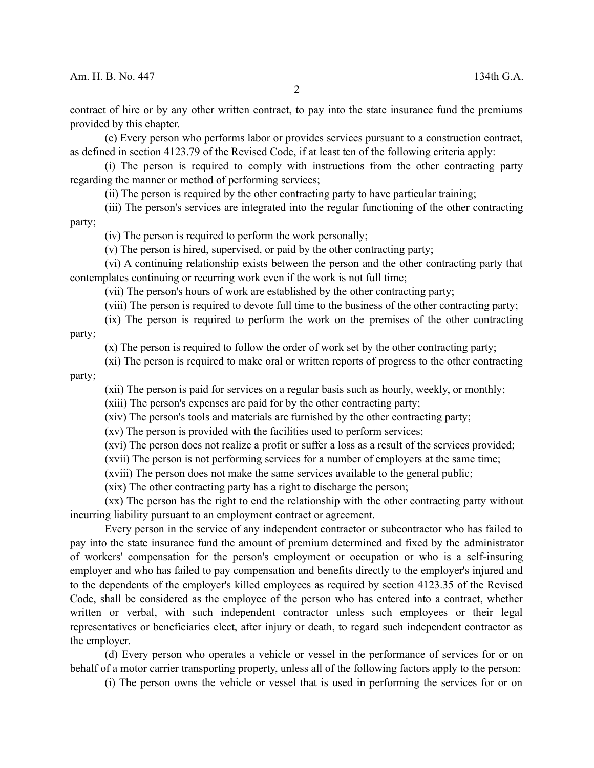contract of hire or by any other written contract, to pay into the state insurance fund the premiums provided by this chapter.

(c) Every person who performs labor or provides services pursuant to a construction contract, as defined in section 4123.79 of the Revised Code, if at least ten of the following criteria apply:

(i) The person is required to comply with instructions from the other contracting party regarding the manner or method of performing services;

(ii) The person is required by the other contracting party to have particular training;

(iii) The person's services are integrated into the regular functioning of the other contracting party;

(iv) The person is required to perform the work personally;

(v) The person is hired, supervised, or paid by the other contracting party;

(vi) A continuing relationship exists between the person and the other contracting party that contemplates continuing or recurring work even if the work is not full time;

(vii) The person's hours of work are established by the other contracting party;

(viii) The person is required to devote full time to the business of the other contracting party;

(ix) The person is required to perform the work on the premises of the other contracting party;

(x) The person is required to follow the order of work set by the other contracting party;

(xi) The person is required to make oral or written reports of progress to the other contracting party;

(xii) The person is paid for services on a regular basis such as hourly, weekly, or monthly;

(xiii) The person's expenses are paid for by the other contracting party;

(xiv) The person's tools and materials are furnished by the other contracting party;

(xv) The person is provided with the facilities used to perform services;

(xvi) The person does not realize a profit or suffer a loss as a result of the services provided;

(xvii) The person is not performing services for a number of employers at the same time;

(xviii) The person does not make the same services available to the general public;

(xix) The other contracting party has a right to discharge the person;

(xx) The person has the right to end the relationship with the other contracting party without incurring liability pursuant to an employment contract or agreement.

Every person in the service of any independent contractor or subcontractor who has failed to pay into the state insurance fund the amount of premium determined and fixed by the administrator of workers' compensation for the person's employment or occupation or who is a self-insuring employer and who has failed to pay compensation and benefits directly to the employer's injured and to the dependents of the employer's killed employees as required by section 4123.35 of the Revised Code, shall be considered as the employee of the person who has entered into a contract, whether written or verbal, with such independent contractor unless such employees or their legal representatives or beneficiaries elect, after injury or death, to regard such independent contractor as the employer.

(d) Every person who operates a vehicle or vessel in the performance of services for or on behalf of a motor carrier transporting property, unless all of the following factors apply to the person:

(i) The person owns the vehicle or vessel that is used in performing the services for or on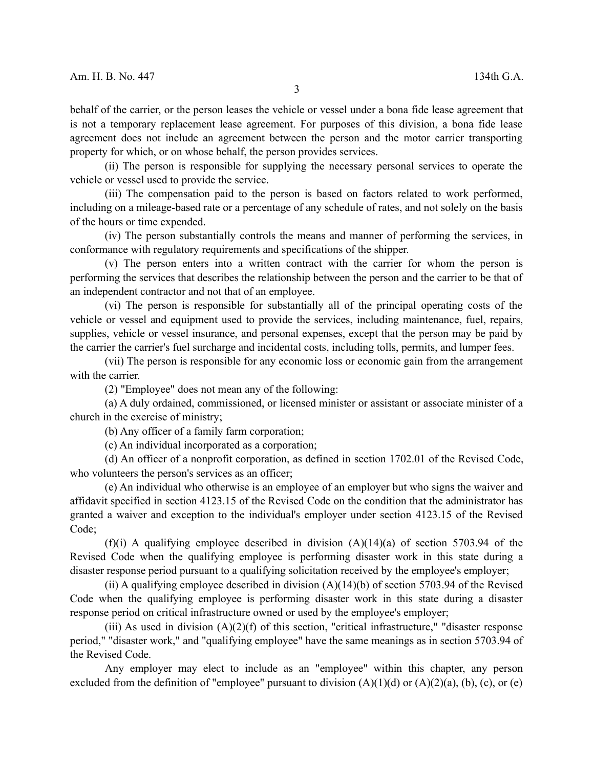behalf of the carrier, or the person leases the vehicle or vessel under a bona fide lease agreement that is not a temporary replacement lease agreement. For purposes of this division, a bona fide lease agreement does not include an agreement between the person and the motor carrier transporting property for which, or on whose behalf, the person provides services.

(ii) The person is responsible for supplying the necessary personal services to operate the vehicle or vessel used to provide the service.

(iii) The compensation paid to the person is based on factors related to work performed, including on a mileage-based rate or a percentage of any schedule of rates, and not solely on the basis of the hours or time expended.

(iv) The person substantially controls the means and manner of performing the services, in conformance with regulatory requirements and specifications of the shipper.

(v) The person enters into a written contract with the carrier for whom the person is performing the services that describes the relationship between the person and the carrier to be that of an independent contractor and not that of an employee.

(vi) The person is responsible for substantially all of the principal operating costs of the vehicle or vessel and equipment used to provide the services, including maintenance, fuel, repairs, supplies, vehicle or vessel insurance, and personal expenses, except that the person may be paid by the carrier the carrier's fuel surcharge and incidental costs, including tolls, permits, and lumper fees.

(vii) The person is responsible for any economic loss or economic gain from the arrangement with the carrier.

(2) "Employee" does not mean any of the following:

(a) A duly ordained, commissioned, or licensed minister or assistant or associate minister of a church in the exercise of ministry;

(b) Any officer of a family farm corporation;

(c) An individual incorporated as a corporation;

(d) An officer of a nonprofit corporation, as defined in section 1702.01 of the Revised Code, who volunteers the person's services as an officer;

(e) An individual who otherwise is an employee of an employer but who signs the waiver and affidavit specified in section 4123.15 of the Revised Code on the condition that the administrator has granted a waiver and exception to the individual's employer under section 4123.15 of the Revised Code;

(f)(i) A qualifying employee described in division  $(A)(14)(a)$  of section 5703.94 of the Revised Code when the qualifying employee is performing disaster work in this state during a disaster response period pursuant to a qualifying solicitation received by the employee's employer;

(ii) A qualifying employee described in division  $(A)(14)(b)$  of section 5703.94 of the Revised Code when the qualifying employee is performing disaster work in this state during a disaster response period on critical infrastructure owned or used by the employee's employer;

(iii) As used in division  $(A)(2)(f)$  of this section, "critical infrastructure," "disaster response" period," "disaster work," and "qualifying employee" have the same meanings as in section 5703.94 of the Revised Code.

Any employer may elect to include as an "employee" within this chapter, any person excluded from the definition of "employee" pursuant to division  $(A)(1)(d)$  or  $(A)(2)(a)$ ,  $(b)$ ,  $(c)$ , or  $(e)$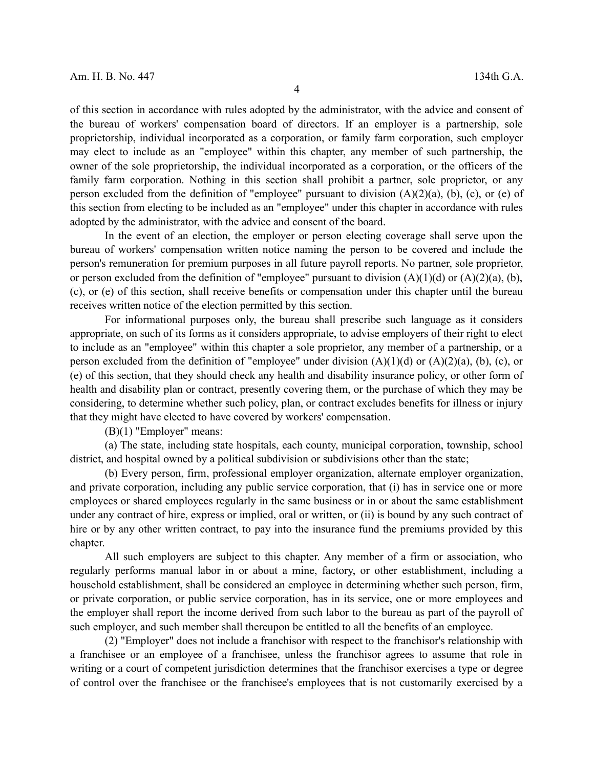of this section in accordance with rules adopted by the administrator, with the advice and consent of the bureau of workers' compensation board of directors. If an employer is a partnership, sole proprietorship, individual incorporated as a corporation, or family farm corporation, such employer may elect to include as an "employee" within this chapter, any member of such partnership, the owner of the sole proprietorship, the individual incorporated as a corporation, or the officers of the family farm corporation. Nothing in this section shall prohibit a partner, sole proprietor, or any person excluded from the definition of "employee" pursuant to division  $(A)(2)(a)$ , (b), (c), or (e) of this section from electing to be included as an "employee" under this chapter in accordance with rules adopted by the administrator, with the advice and consent of the board.

In the event of an election, the employer or person electing coverage shall serve upon the bureau of workers' compensation written notice naming the person to be covered and include the person's remuneration for premium purposes in all future payroll reports. No partner, sole proprietor, or person excluded from the definition of "employee" pursuant to division  $(A)(1)(d)$  or  $(A)(2)(a)$ , (b), (c), or (e) of this section, shall receive benefits or compensation under this chapter until the bureau receives written notice of the election permitted by this section.

For informational purposes only, the bureau shall prescribe such language as it considers appropriate, on such of its forms as it considers appropriate, to advise employers of their right to elect to include as an "employee" within this chapter a sole proprietor, any member of a partnership, or a person excluded from the definition of "employee" under division  $(A)(1)(d)$  or  $(A)(2)(a)$ , (b), (c), or (e) of this section, that they should check any health and disability insurance policy, or other form of health and disability plan or contract, presently covering them, or the purchase of which they may be considering, to determine whether such policy, plan, or contract excludes benefits for illness or injury that they might have elected to have covered by workers' compensation.

(B)(1) "Employer" means:

(a) The state, including state hospitals, each county, municipal corporation, township, school district, and hospital owned by a political subdivision or subdivisions other than the state;

(b) Every person, firm, professional employer organization, alternate employer organization, and private corporation, including any public service corporation, that (i) has in service one or more employees or shared employees regularly in the same business or in or about the same establishment under any contract of hire, express or implied, oral or written, or (ii) is bound by any such contract of hire or by any other written contract, to pay into the insurance fund the premiums provided by this chapter.

All such employers are subject to this chapter. Any member of a firm or association, who regularly performs manual labor in or about a mine, factory, or other establishment, including a household establishment, shall be considered an employee in determining whether such person, firm, or private corporation, or public service corporation, has in its service, one or more employees and the employer shall report the income derived from such labor to the bureau as part of the payroll of such employer, and such member shall thereupon be entitled to all the benefits of an employee.

(2) "Employer" does not include a franchisor with respect to the franchisor's relationship with a franchisee or an employee of a franchisee, unless the franchisor agrees to assume that role in writing or a court of competent jurisdiction determines that the franchisor exercises a type or degree of control over the franchisee or the franchisee's employees that is not customarily exercised by a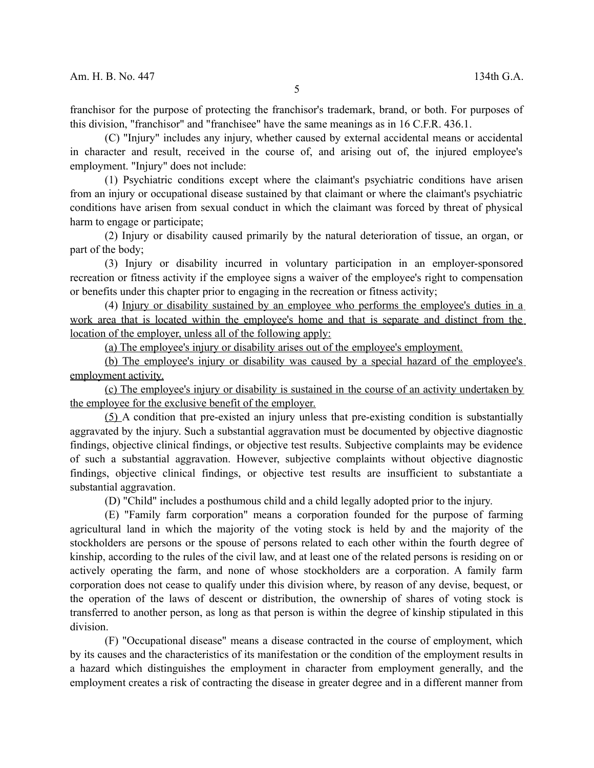franchisor for the purpose of protecting the franchisor's trademark, brand, or both. For purposes of this division, "franchisor" and "franchisee" have the same meanings as in 16 C.F.R. 436.1.

(C) "Injury" includes any injury, whether caused by external accidental means or accidental in character and result, received in the course of, and arising out of, the injured employee's employment. "Injury" does not include:

(1) Psychiatric conditions except where the claimant's psychiatric conditions have arisen from an injury or occupational disease sustained by that claimant or where the claimant's psychiatric conditions have arisen from sexual conduct in which the claimant was forced by threat of physical harm to engage or participate;

(2) Injury or disability caused primarily by the natural deterioration of tissue, an organ, or part of the body;

(3) Injury or disability incurred in voluntary participation in an employer-sponsored recreation or fitness activity if the employee signs a waiver of the employee's right to compensation or benefits under this chapter prior to engaging in the recreation or fitness activity;

(4) Injury or disability sustained by an employee who performs the employee's duties in a work area that is located within the employee's home and that is separate and distinct from the location of the employer, unless all of the following apply:

(a) The employee's injury or disability arises out of the employee's employment.

(b) The employee's injury or disability was caused by a special hazard of the employee's employment activity.

 (c) The employee's injury or disability is sustained in the course of an activity undertaken by the employee for the exclusive benefit of the employer.

(5) A condition that pre-existed an injury unless that pre-existing condition is substantially aggravated by the injury. Such a substantial aggravation must be documented by objective diagnostic findings, objective clinical findings, or objective test results. Subjective complaints may be evidence of such a substantial aggravation. However, subjective complaints without objective diagnostic findings, objective clinical findings, or objective test results are insufficient to substantiate a substantial aggravation.

(D) "Child" includes a posthumous child and a child legally adopted prior to the injury.

(E) "Family farm corporation" means a corporation founded for the purpose of farming agricultural land in which the majority of the voting stock is held by and the majority of the stockholders are persons or the spouse of persons related to each other within the fourth degree of kinship, according to the rules of the civil law, and at least one of the related persons is residing on or actively operating the farm, and none of whose stockholders are a corporation. A family farm corporation does not cease to qualify under this division where, by reason of any devise, bequest, or the operation of the laws of descent or distribution, the ownership of shares of voting stock is transferred to another person, as long as that person is within the degree of kinship stipulated in this division.

(F) "Occupational disease" means a disease contracted in the course of employment, which by its causes and the characteristics of its manifestation or the condition of the employment results in a hazard which distinguishes the employment in character from employment generally, and the employment creates a risk of contracting the disease in greater degree and in a different manner from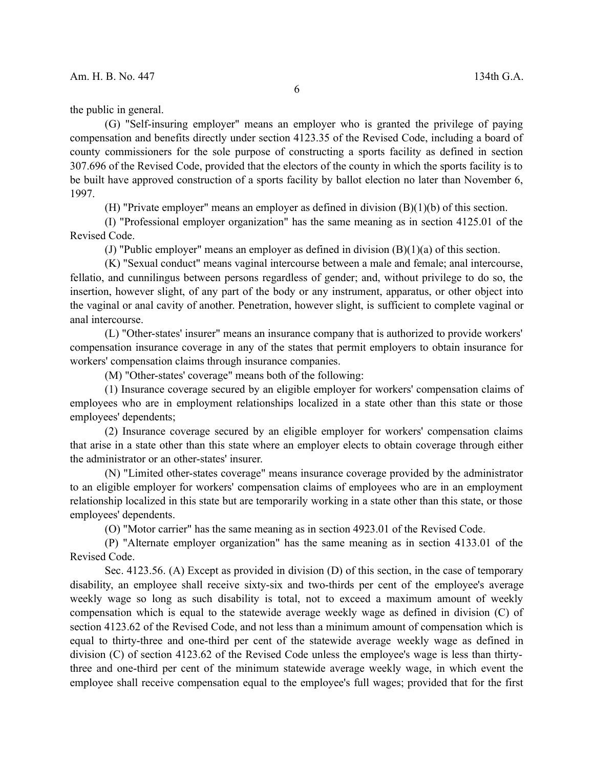the public in general.

(G) "Self-insuring employer" means an employer who is granted the privilege of paying compensation and benefits directly under section 4123.35 of the Revised Code, including a board of county commissioners for the sole purpose of constructing a sports facility as defined in section 307.696 of the Revised Code, provided that the electors of the county in which the sports facility is to be built have approved construction of a sports facility by ballot election no later than November 6, 1997.

(H) "Private employer" means an employer as defined in division (B)(1)(b) of this section.

(I) "Professional employer organization" has the same meaning as in section 4125.01 of the Revised Code.

(J) "Public employer" means an employer as defined in division (B)(1)(a) of this section.

(K) "Sexual conduct" means vaginal intercourse between a male and female; anal intercourse, fellatio, and cunnilingus between persons regardless of gender; and, without privilege to do so, the insertion, however slight, of any part of the body or any instrument, apparatus, or other object into the vaginal or anal cavity of another. Penetration, however slight, is sufficient to complete vaginal or anal intercourse.

(L) "Other-states' insurer" means an insurance company that is authorized to provide workers' compensation insurance coverage in any of the states that permit employers to obtain insurance for workers' compensation claims through insurance companies.

(M) "Other-states' coverage" means both of the following:

(1) Insurance coverage secured by an eligible employer for workers' compensation claims of employees who are in employment relationships localized in a state other than this state or those employees' dependents;

(2) Insurance coverage secured by an eligible employer for workers' compensation claims that arise in a state other than this state where an employer elects to obtain coverage through either the administrator or an other-states' insurer.

(N) "Limited other-states coverage" means insurance coverage provided by the administrator to an eligible employer for workers' compensation claims of employees who are in an employment relationship localized in this state but are temporarily working in a state other than this state, or those employees' dependents.

(O) "Motor carrier" has the same meaning as in section 4923.01 of the Revised Code.

(P) "Alternate employer organization" has the same meaning as in section 4133.01 of the Revised Code.

Sec. 4123.56. (A) Except as provided in division (D) of this section, in the case of temporary disability, an employee shall receive sixty-six and two-thirds per cent of the employee's average weekly wage so long as such disability is total, not to exceed a maximum amount of weekly compensation which is equal to the statewide average weekly wage as defined in division (C) of section 4123.62 of the Revised Code, and not less than a minimum amount of compensation which is equal to thirty-three and one-third per cent of the statewide average weekly wage as defined in division (C) of section 4123.62 of the Revised Code unless the employee's wage is less than thirtythree and one-third per cent of the minimum statewide average weekly wage, in which event the employee shall receive compensation equal to the employee's full wages; provided that for the first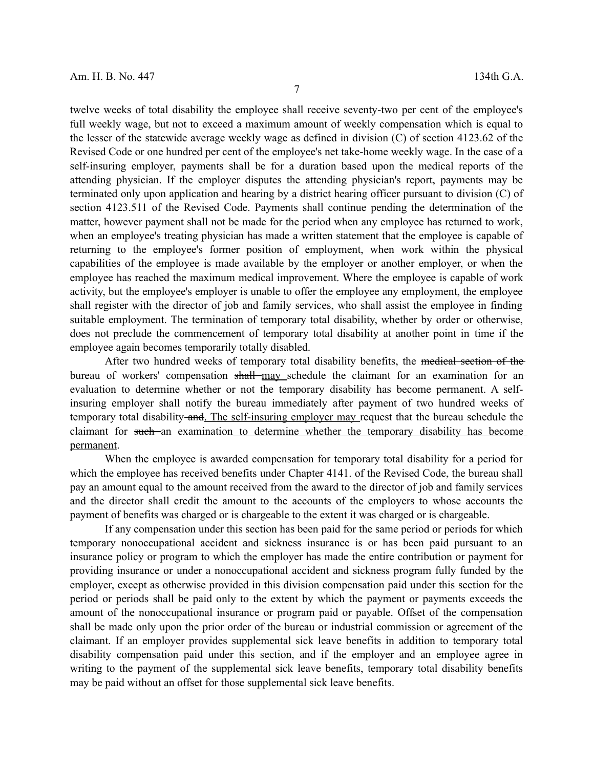twelve weeks of total disability the employee shall receive seventy-two per cent of the employee's full weekly wage, but not to exceed a maximum amount of weekly compensation which is equal to the lesser of the statewide average weekly wage as defined in division (C) of section 4123.62 of the Revised Code or one hundred per cent of the employee's net take-home weekly wage. In the case of a self-insuring employer, payments shall be for a duration based upon the medical reports of the attending physician. If the employer disputes the attending physician's report, payments may be terminated only upon application and hearing by a district hearing officer pursuant to division (C) of section 4123.511 of the Revised Code. Payments shall continue pending the determination of the matter, however payment shall not be made for the period when any employee has returned to work, when an employee's treating physician has made a written statement that the employee is capable of returning to the employee's former position of employment, when work within the physical capabilities of the employee is made available by the employer or another employer, or when the employee has reached the maximum medical improvement. Where the employee is capable of work activity, but the employee's employer is unable to offer the employee any employment, the employee shall register with the director of job and family services, who shall assist the employee in finding suitable employment. The termination of temporary total disability, whether by order or otherwise, does not preclude the commencement of temporary total disability at another point in time if the employee again becomes temporarily totally disabled.

After two hundred weeks of temporary total disability benefits, the medical section of the bureau of workers' compensation shall may schedule the claimant for an examination for an evaluation to determine whether or not the temporary disability has become permanent. A selfinsuring employer shall notify the bureau immediately after payment of two hundred weeks of temporary total disability and. The self-insuring employer may request that the bureau schedule the claimant for such an examination to determine whether the temporary disability has become permanent.

When the employee is awarded compensation for temporary total disability for a period for which the employee has received benefits under Chapter 4141. of the Revised Code, the bureau shall pay an amount equal to the amount received from the award to the director of job and family services and the director shall credit the amount to the accounts of the employers to whose accounts the payment of benefits was charged or is chargeable to the extent it was charged or is chargeable.

If any compensation under this section has been paid for the same period or periods for which temporary nonoccupational accident and sickness insurance is or has been paid pursuant to an insurance policy or program to which the employer has made the entire contribution or payment for providing insurance or under a nonoccupational accident and sickness program fully funded by the employer, except as otherwise provided in this division compensation paid under this section for the period or periods shall be paid only to the extent by which the payment or payments exceeds the amount of the nonoccupational insurance or program paid or payable. Offset of the compensation shall be made only upon the prior order of the bureau or industrial commission or agreement of the claimant. If an employer provides supplemental sick leave benefits in addition to temporary total disability compensation paid under this section, and if the employer and an employee agree in writing to the payment of the supplemental sick leave benefits, temporary total disability benefits may be paid without an offset for those supplemental sick leave benefits.

7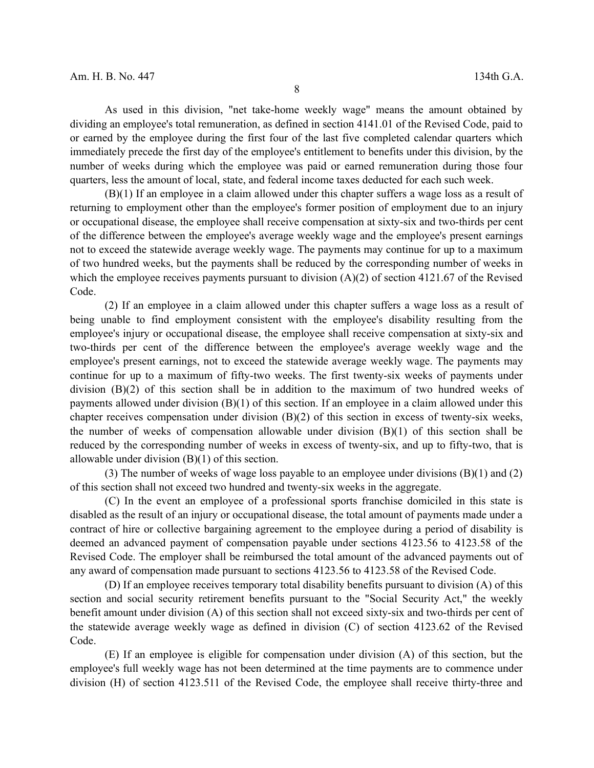As used in this division, "net take-home weekly wage" means the amount obtained by dividing an employee's total remuneration, as defined in section 4141.01 of the Revised Code, paid to or earned by the employee during the first four of the last five completed calendar quarters which immediately precede the first day of the employee's entitlement to benefits under this division, by the number of weeks during which the employee was paid or earned remuneration during those four quarters, less the amount of local, state, and federal income taxes deducted for each such week.

(B)(1) If an employee in a claim allowed under this chapter suffers a wage loss as a result of returning to employment other than the employee's former position of employment due to an injury or occupational disease, the employee shall receive compensation at sixty-six and two-thirds per cent of the difference between the employee's average weekly wage and the employee's present earnings not to exceed the statewide average weekly wage. The payments may continue for up to a maximum of two hundred weeks, but the payments shall be reduced by the corresponding number of weeks in which the employee receives payments pursuant to division (A)(2) of section 4121.67 of the Revised Code.

(2) If an employee in a claim allowed under this chapter suffers a wage loss as a result of being unable to find employment consistent with the employee's disability resulting from the employee's injury or occupational disease, the employee shall receive compensation at sixty-six and two-thirds per cent of the difference between the employee's average weekly wage and the employee's present earnings, not to exceed the statewide average weekly wage. The payments may continue for up to a maximum of fifty-two weeks. The first twenty-six weeks of payments under division (B)(2) of this section shall be in addition to the maximum of two hundred weeks of payments allowed under division (B)(1) of this section. If an employee in a claim allowed under this chapter receives compensation under division (B)(2) of this section in excess of twenty-six weeks, the number of weeks of compensation allowable under division  $(B)(1)$  of this section shall be reduced by the corresponding number of weeks in excess of twenty-six, and up to fifty-two, that is allowable under division (B)(1) of this section.

(3) The number of weeks of wage loss payable to an employee under divisions (B)(1) and (2) of this section shall not exceed two hundred and twenty-six weeks in the aggregate.

(C) In the event an employee of a professional sports franchise domiciled in this state is disabled as the result of an injury or occupational disease, the total amount of payments made under a contract of hire or collective bargaining agreement to the employee during a period of disability is deemed an advanced payment of compensation payable under sections 4123.56 to 4123.58 of the Revised Code. The employer shall be reimbursed the total amount of the advanced payments out of any award of compensation made pursuant to sections 4123.56 to 4123.58 of the Revised Code.

(D) If an employee receives temporary total disability benefits pursuant to division (A) of this section and social security retirement benefits pursuant to the "Social Security Act," the weekly benefit amount under division (A) of this section shall not exceed sixty-six and two-thirds per cent of the statewide average weekly wage as defined in division (C) of section 4123.62 of the Revised Code.

(E) If an employee is eligible for compensation under division (A) of this section, but the employee's full weekly wage has not been determined at the time payments are to commence under division (H) of section 4123.511 of the Revised Code, the employee shall receive thirty-three and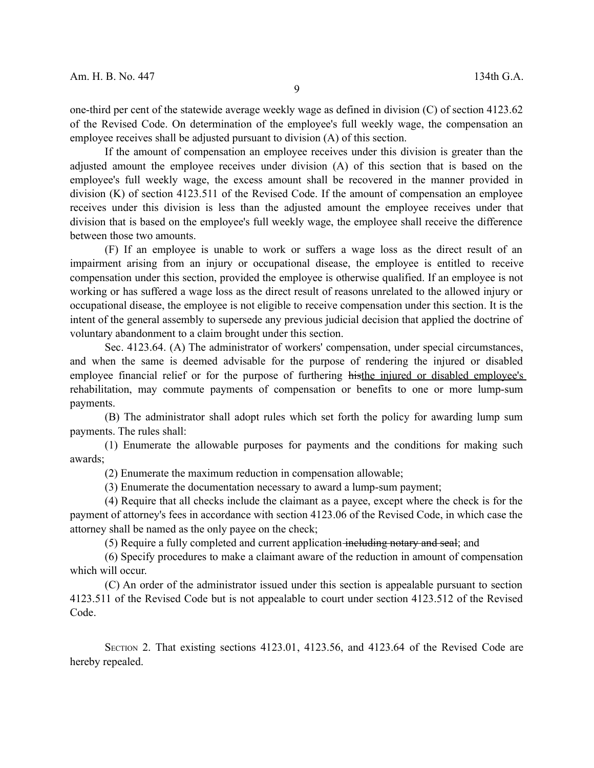one-third per cent of the statewide average weekly wage as defined in division (C) of section 4123.62 of the Revised Code. On determination of the employee's full weekly wage, the compensation an employee receives shall be adjusted pursuant to division (A) of this section.

If the amount of compensation an employee receives under this division is greater than the adjusted amount the employee receives under division (A) of this section that is based on the employee's full weekly wage, the excess amount shall be recovered in the manner provided in division (K) of section 4123.511 of the Revised Code. If the amount of compensation an employee receives under this division is less than the adjusted amount the employee receives under that division that is based on the employee's full weekly wage, the employee shall receive the difference between those two amounts.

(F) If an employee is unable to work or suffers a wage loss as the direct result of an impairment arising from an injury or occupational disease, the employee is entitled to receive compensation under this section, provided the employee is otherwise qualified. If an employee is not working or has suffered a wage loss as the direct result of reasons unrelated to the allowed injury or occupational disease, the employee is not eligible to receive compensation under this section. It is the intent of the general assembly to supersede any previous judicial decision that applied the doctrine of voluntary abandonment to a claim brought under this section.

Sec. 4123.64. (A) The administrator of workers' compensation, under special circumstances, and when the same is deemed advisable for the purpose of rendering the injured or disabled employee financial relief or for the purpose of furthering histhe injured or disabled employee's rehabilitation, may commute payments of compensation or benefits to one or more lump-sum payments.

(B) The administrator shall adopt rules which set forth the policy for awarding lump sum payments. The rules shall:

(1) Enumerate the allowable purposes for payments and the conditions for making such awards;

(2) Enumerate the maximum reduction in compensation allowable;

(3) Enumerate the documentation necessary to award a lump-sum payment;

(4) Require that all checks include the claimant as a payee, except where the check is for the payment of attorney's fees in accordance with section 4123.06 of the Revised Code, in which case the attorney shall be named as the only payee on the check;

(5) Require a fully completed and current application including notary and seal; and

(6) Specify procedures to make a claimant aware of the reduction in amount of compensation which will occur.

(C) An order of the administrator issued under this section is appealable pursuant to section 4123.511 of the Revised Code but is not appealable to court under section 4123.512 of the Revised Code.

SECTION 2. That existing sections 4123.01, 4123.56, and 4123.64 of the Revised Code are hereby repealed.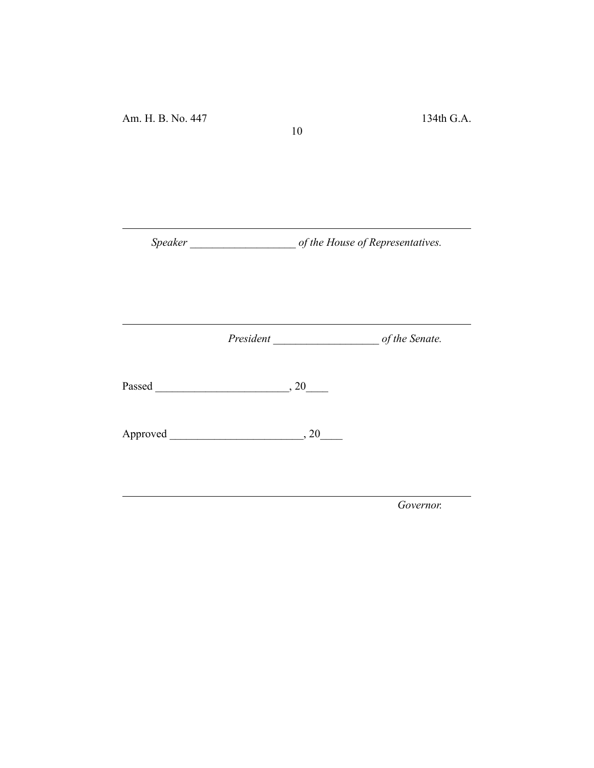*Speaker \_\_\_\_\_\_\_\_\_\_\_\_\_\_\_\_\_\_\_ of the House of Representatives.*

10

*President \_\_\_\_\_\_\_\_\_\_\_\_\_\_\_\_\_\_\_ of the Senate.*

Passed \_\_\_\_\_\_\_\_\_\_\_\_\_\_\_\_\_\_\_\_\_\_\_\_, 20\_\_\_\_

Approved \_\_\_\_\_\_\_\_\_\_\_\_\_\_\_\_\_\_\_\_\_\_\_\_, 20\_\_\_\_

*Governor.*